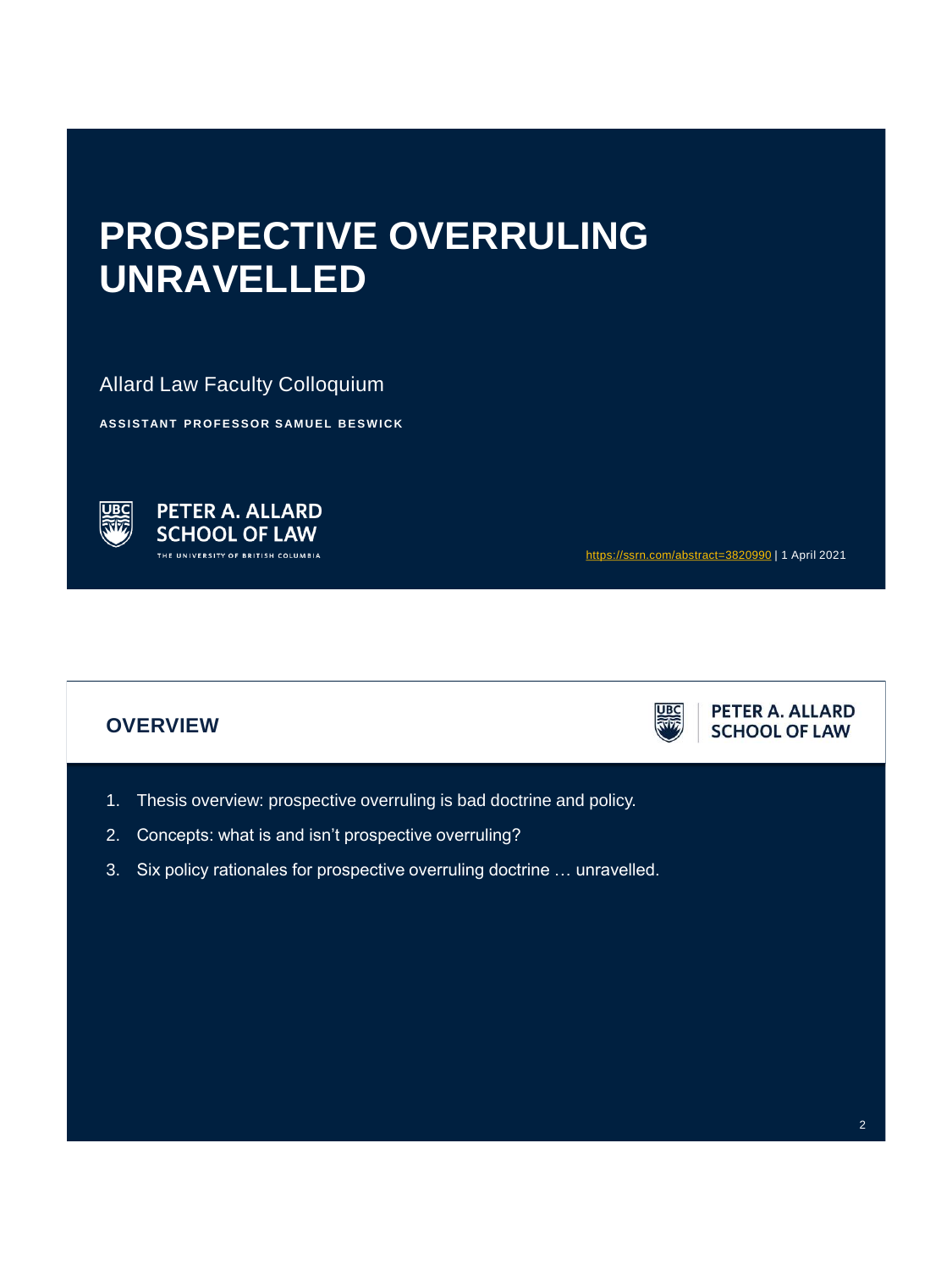# **PROSPECTIVE OVERRULING UNRAVELLED**

Allard Law Faculty Colloquium

**ASSISTANT PROFESSOR SAMUEL BESWICK** 



<https://ssrn.com/abstract=3820990> | 1 April 2021

# **OVERVIEW**



PETER A. ALLARD **SCHOOL OF LAW** 

- 1. Thesis overview: prospective overruling is bad doctrine and policy.
- 2. Concepts: what is and isn't prospective overruling?
- 3. Six policy rationales for prospective overruling doctrine … unravelled.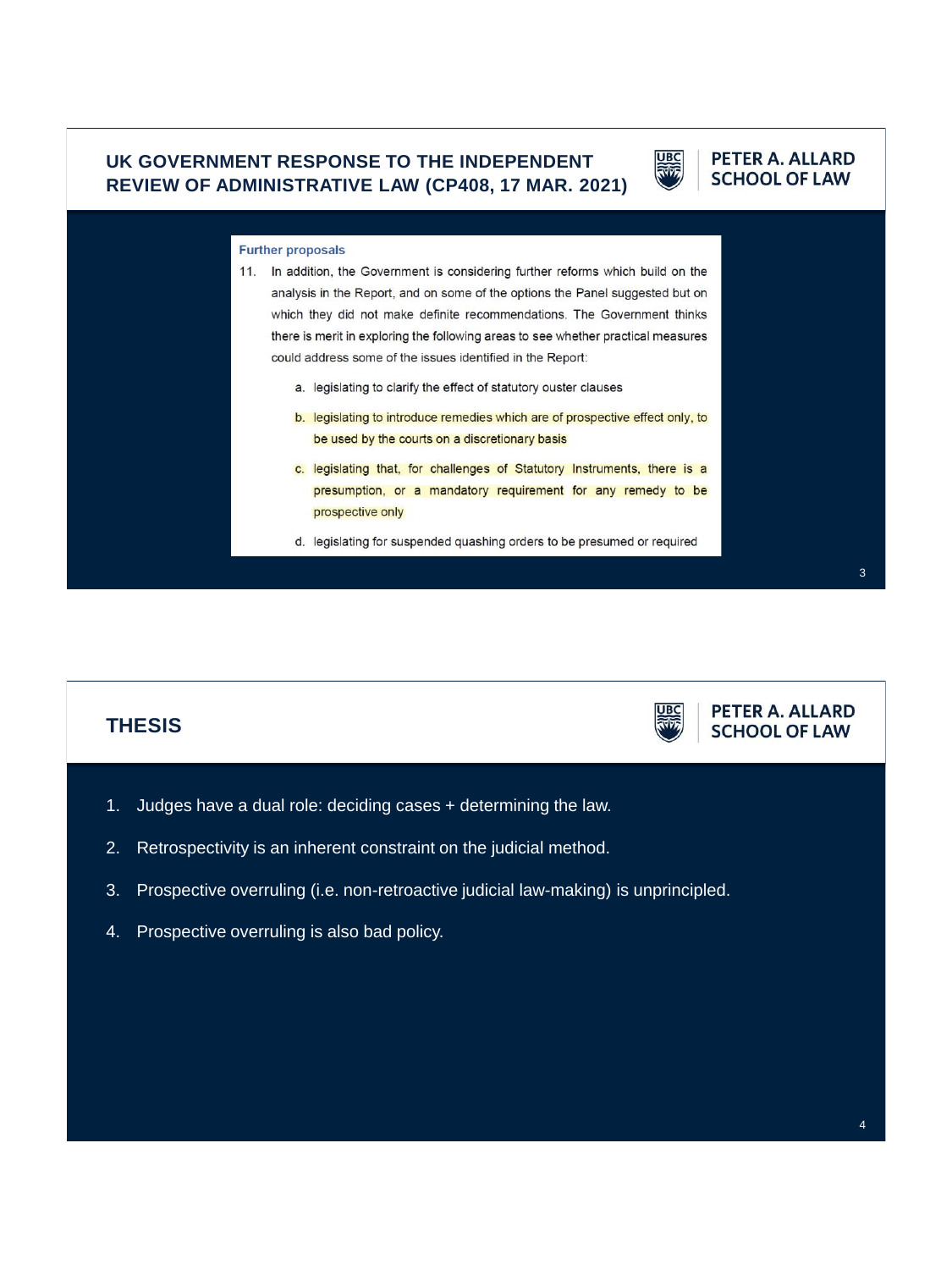## **UK GOVERNMENT RESPONSE TO THE INDEPENDENT REVIEW OF ADMINISTRATIVE LAW (CP408, 17 MAR. 2021)**



#### PETER A. ALLARD **SCHOOL OF LAW**

#### **Further proposals**

- 11. In addition, the Government is considering further reforms which build on the analysis in the Report, and on some of the options the Panel suggested but on which they did not make definite recommendations. The Government thinks there is merit in exploring the following areas to see whether practical measures could address some of the issues identified in the Report:
	- a. legislating to clarify the effect of statutory ouster clauses
	- b. legislating to introduce remedies which are of prospective effect only, to be used by the courts on a discretionary basis
	- c. legislating that, for challenges of Statutory Instruments, there is a presumption, or a mandatory requirement for any remedy to be prospective only
	- d. legislating for suspended quashing orders to be presumed or required



- 2. Retrospectivity is an inherent constraint on the judicial method.
- 3. Prospective overruling (i.e. non-retroactive judicial law-making) is unprincipled.
- 4. Prospective overruling is also bad policy.

3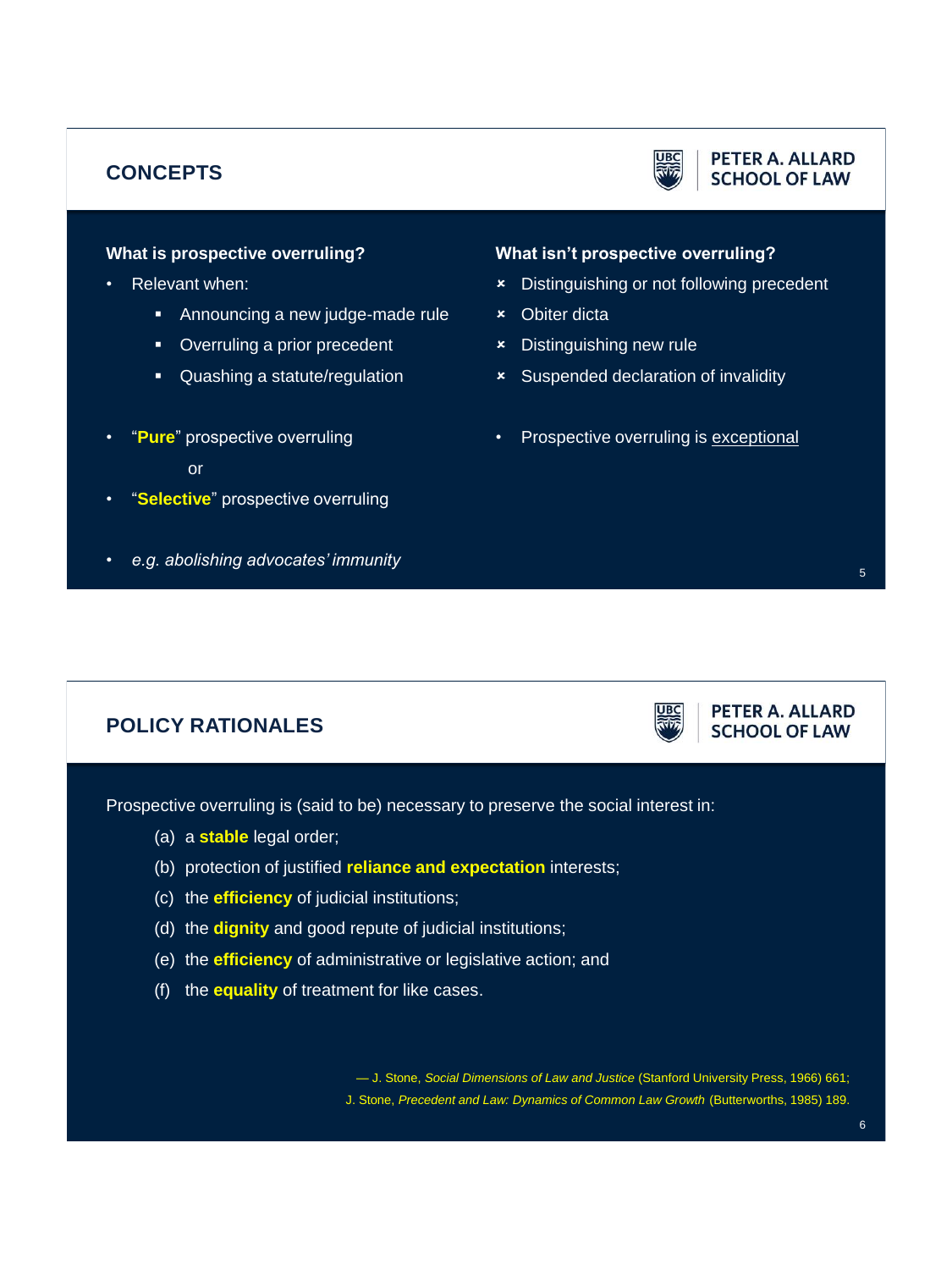# **CONCEPTS**



#### PETER A. ALLARD **SCHOOL OF LAW**

### **What is prospective overruling?**

- Relevant when:
	- Announcing a new judge-made rule
	- Overruling a prior precedent
	- Quashing a statute/regulation
- "**Pure**" prospective overruling

#### or

- "**Selective**" prospective overruling
- *e.g. abolishing advocates' immunity*

#### **What isn't prospective overruling?**

- Distinguishing or not following precedent
- Obiter dicta
- Distinguishing new rule
- Suspended declaration of invalidity
- Prospective overruling is exceptional

PETER A. ALLARD **SCHOOL OF LAW** 

# **POLICY RATIONALES**

Prospective overruling is (said to be) necessary to preserve the social interest in:

- (a) a **stable** legal order;
- (b) protection of justified **reliance and expectation** interests;
- (c) the **efficiency** of judicial institutions;
- (d) the **dignity** and good repute of judicial institutions;
- (e) the **efficiency** of administrative or legislative action; and
- (f) the **equality** of treatment for like cases.

— J. Stone, *Social Dimensions of Law and Justice* (Stanford University Press, 1966) 661; J. Stone, *Precedent and Law: Dynamics of Common Law Growth* (Butterworths, 1985) 189.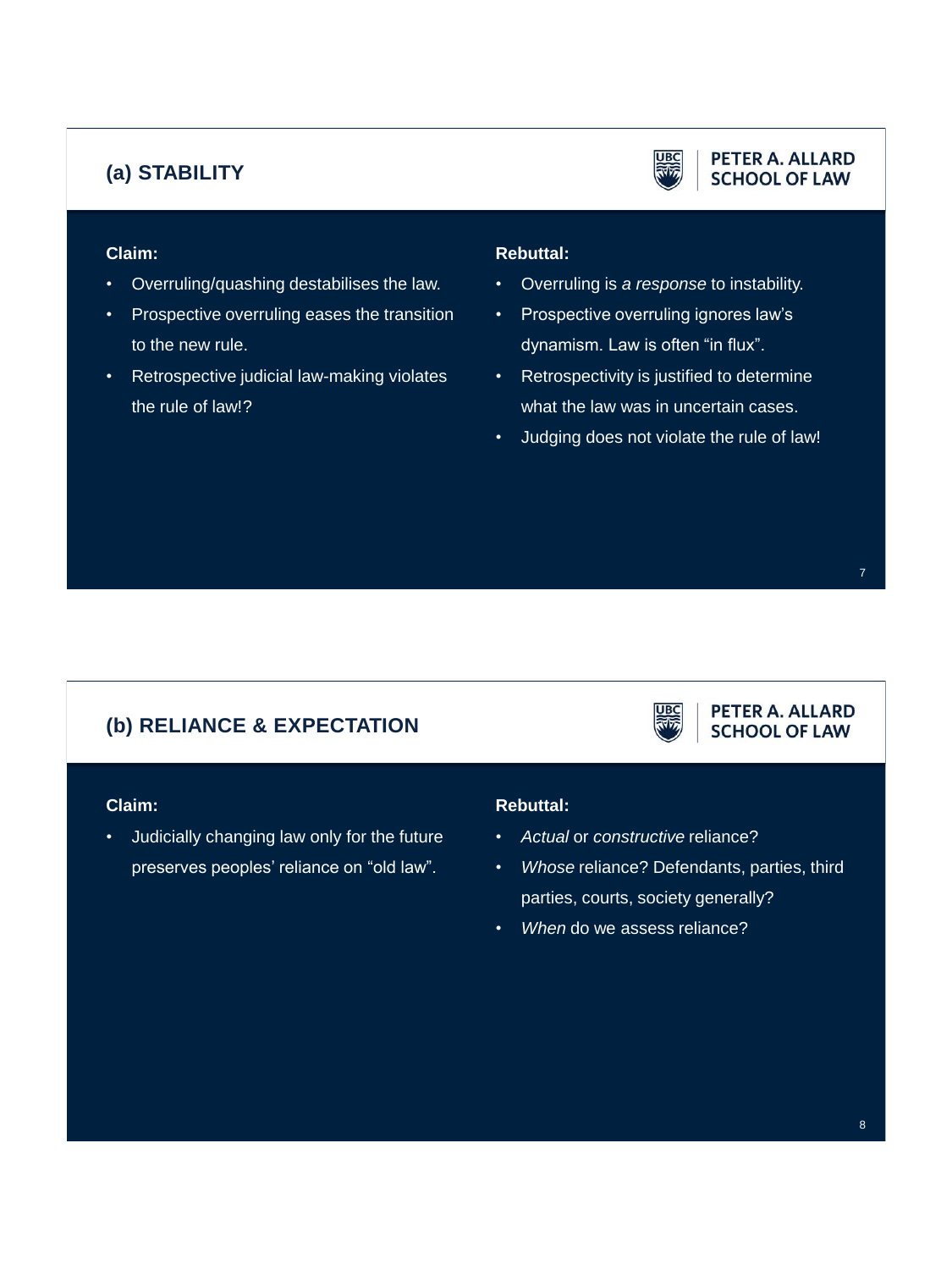# **(a) STABILITY**



#### PETER A. ALLARD **SCHOOL OF LAW**

PETER A. ALLARD **SCHOOL OF LAW** 

## **Claim:**

- Overruling/quashing destabilises the law.
- Prospective overruling eases the transition to the new rule.
- Retrospective judicial law-making violates the rule of law!?

## **Rebuttal:**

- Overruling is *a response* to instability.
- Prospective overruling ignores law's dynamism. Law is often "in flux".
- Retrospectivity is justified to determine what the law was in uncertain cases.
- Judging does not violate the rule of law!

# **(b) RELIANCE & EXPECTATION**

#### **Claim:**

• Judicially changing law only for the future preserves peoples' reliance on "old law".

#### **Rebuttal:**

- *Actual* or *constructive* reliance?
- *Whose* reliance? Defendants, parties, third parties, courts, society generally?
- *When* do we assess reliance?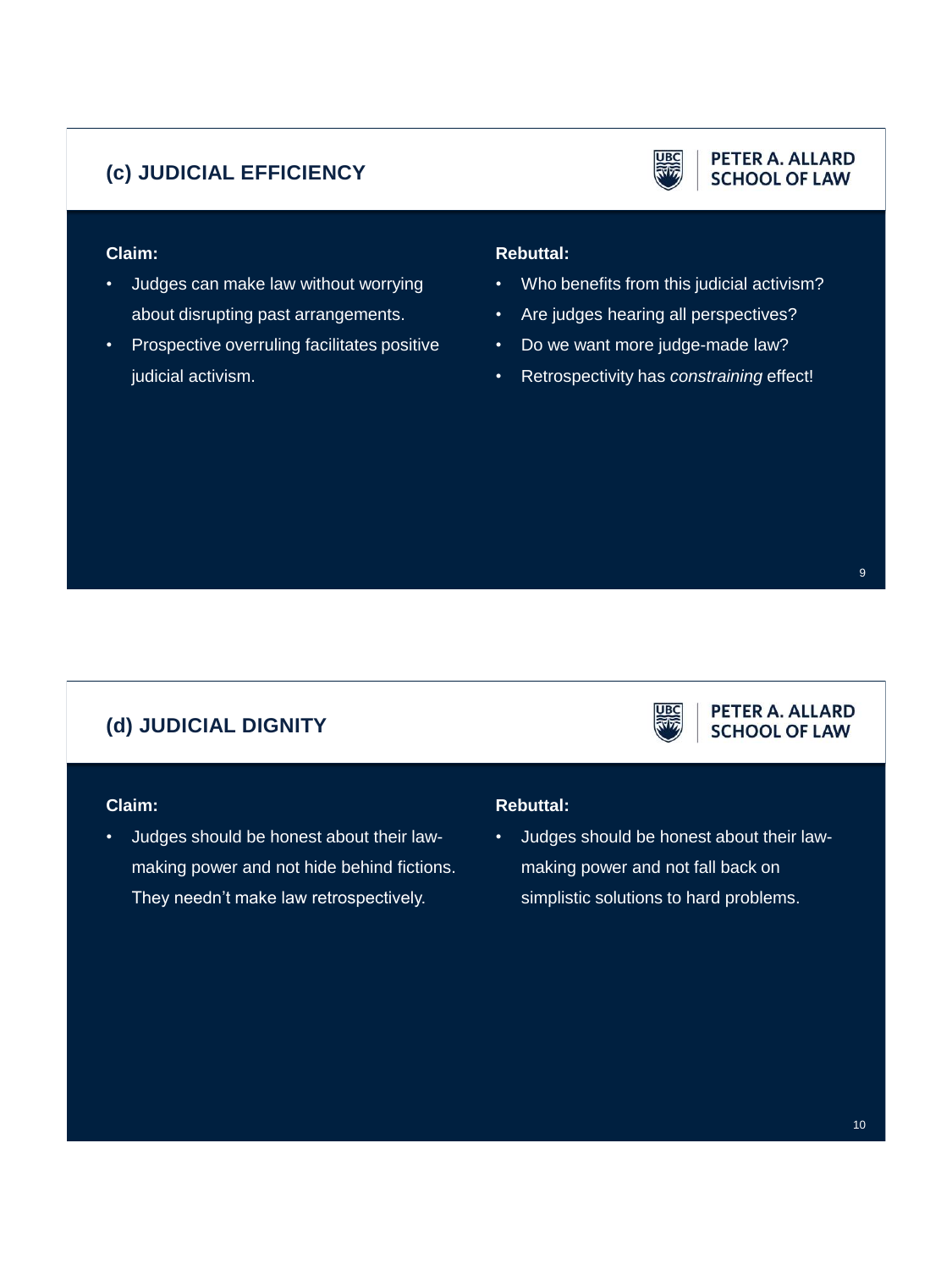# **(c) JUDICIAL EFFICIENCY**



#### PETER A. ALLARD **SCHOOL OF LAW**

## **Claim:**

- Judges can make law without worrying about disrupting past arrangements.
- Prospective overruling facilitates positive judicial activism.

## **Rebuttal:**

- Who benefits from this judicial activism?
- Are judges hearing all perspectives?
- Do we want more judge-made law?
- Retrospectivity has *constraining* effect!

PETER A. ALLARD **SCHOOL OF LAW** 

# **(d) JUDICIAL DIGNITY**

#### **Claim:**

• Judges should be honest about their lawmaking power and not hide behind fictions. They needn't make law retrospectively.

#### **Rebuttal:**

• Judges should be honest about their lawmaking power and not fall back on simplistic solutions to hard problems.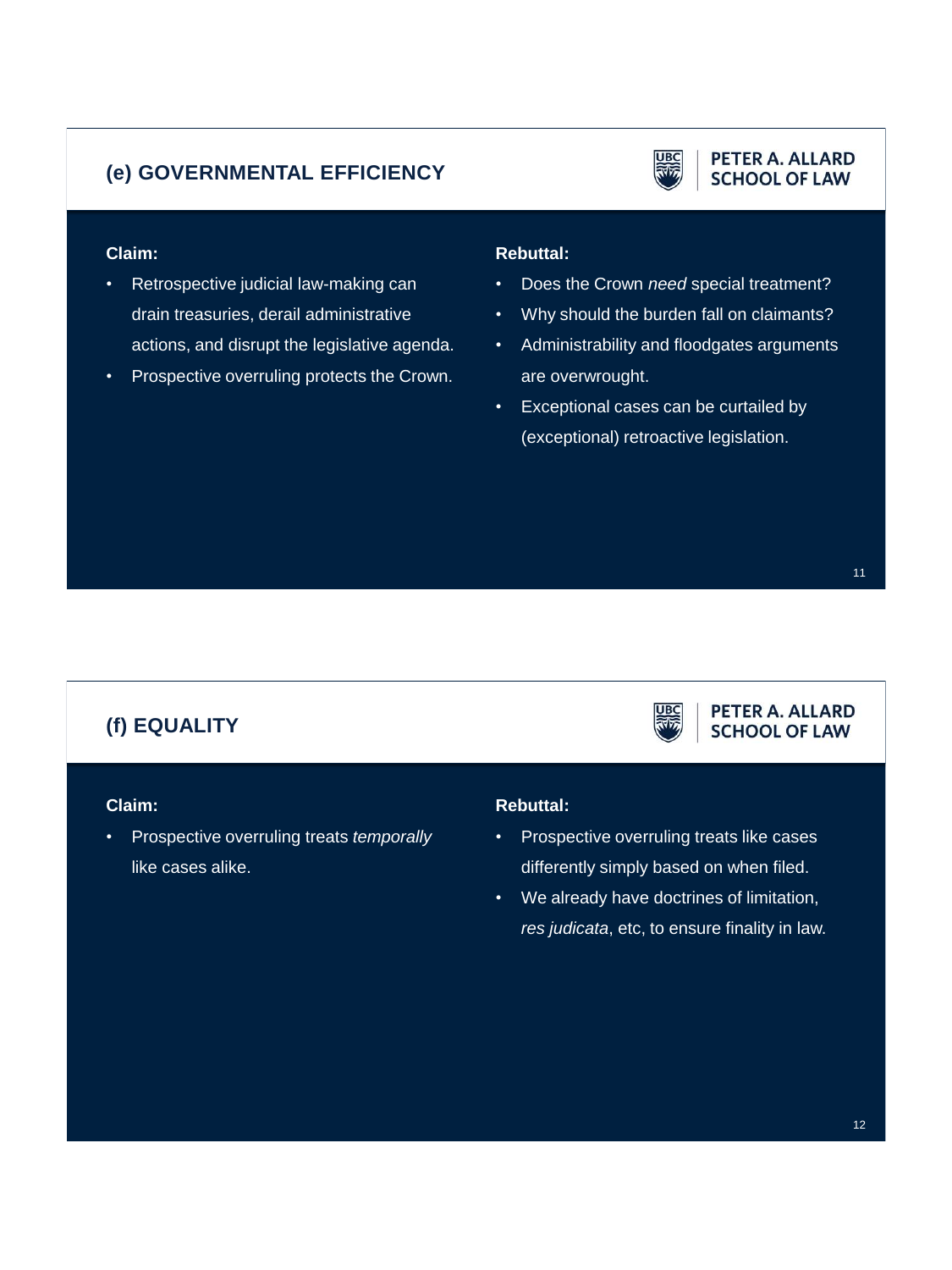# **(e) GOVERNMENTAL EFFICIENCY**



#### PETER A. ALLARD **SCHOOL OF LAW**

## **Claim:**

- Retrospective judicial law-making can drain treasuries, derail administrative actions, and disrupt the legislative agenda.
- Prospective overruling protects the Crown.

## **Rebuttal:**

- Does the Crown *need* special treatment?
- Why should the burden fall on claimants?
- Administrability and floodgates arguments are overwrought.
- Exceptional cases can be curtailed by (exceptional) retroactive legislation.

PETER A. ALLARD **SCHOOL OF LAW** 

# **(f) EQUALITY**

#### **Claim:**

• Prospective overruling treats *temporally* like cases alike.

#### **Rebuttal:**

- Prospective overruling treats like cases differently simply based on when filed.
- We already have doctrines of limitation, *res judicata*, etc, to ensure finality in law.